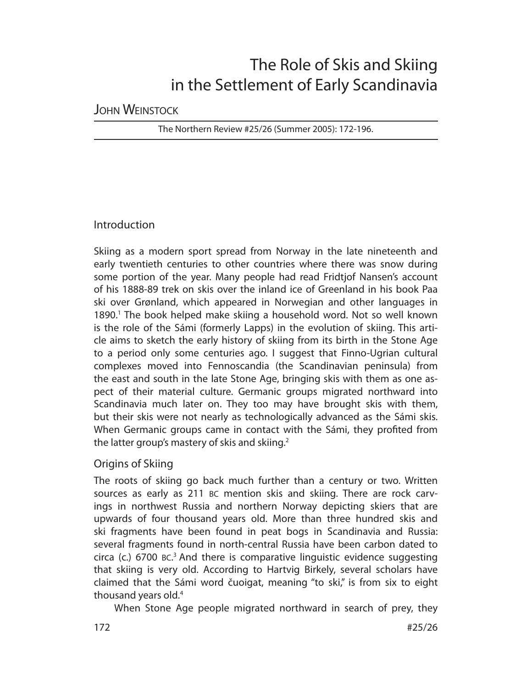# The Role of Skis and Skiing in the Settlement of Early Scandinavia

# JOHN WEINSTOCK

The Northern Review #25/26 (Summer 2005): 172-196.

# Introduction

Skiing as a modern sport spread from Norway in the late nineteenth and early twentieth centuries to other countries where there was snow during some portion of the year. Many people had read Fridtjof Nansen's account of his 1888-89 trek on skis over the inland ice of Greenland in his book Paa ski over Grønland, which appeared in Norwegian and other languages in 1890.<sup>1</sup> The book helped make skiing a household word. Not so well known is the role of the Sámi (formerly Lapps) in the evolution of skiing. This article aims to sketch the early history of skiing from its birth in the Stone Age to a period only some centuries ago. I suggest that Finno-Ugrian cultural complexes moved into Fennoscandia (the Scandinavian peninsula) from the east and south in the late Stone Age, bringing skis with them as one aspect of their material culture. Germanic groups migrated northward into Scandinavia much later on. They too may have brought skis with them, but their skis were not nearly as technologically advanced as the Sámi skis. When Germanic groups came in contact with the Sámi, they profited from the latter group's mastery of skis and skiing.<sup>2</sup>

# Origins of Skiing

The roots of skiing go back much further than a century or two. Written sources as early as 211 BC mention skis and skiing. There are rock carvings in northwest Russia and northern Norway depicting skiers that are upwards of four thousand years old. More than three hundred skis and ski fragments have been found in peat bogs in Scandinavia and Russia: several fragments found in north-central Russia have been carbon dated to circa (c.) 6700 BC. 3 And there is comparative linguistic evidence suggesting that skiing is very old. According to Hartvig Birkely, several scholars have claimed that the Sámi word čuoigat, meaning "to ski," is from six to eight thousand years old.4

When Stone Age people migrated northward in search of prey, they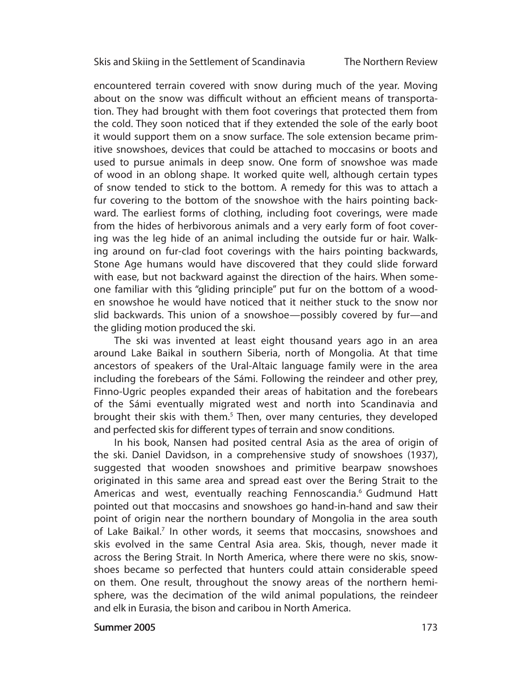The Northern Review

encountered terrain covered with snow during much of the year. Moving about on the snow was difficult without an efficient means of transportation. They had brought with them foot coverings that protected them from the cold. They soon noticed that if they extended the sole of the early boot it would support them on a snow surface. The sole extension became primitive snow shoes, devices that could be attached to moccasins or boots and used to pursue animals in deep snow. One form of snowshoe was made of wood in an oblong shape. It worked quite well, although certain types of snow tended to stick to the bottom. A remedy for this was to attach a fur covering to the bottom of the snowshoe with the hairs pointing backward. The earliest forms of clothing, including foot coverings, were made from the hides of herbivorous animals and a very early form of foot covering was the leg hide of an animal including the outside fur or hair. Walking around on fur-clad foot coverings with the hairs pointing backwards, Stone Age humans would have discovered that they could slide forward with ease, but not backward against the direction of the hairs. When someone familiar with this "gliding principle" put fur on the bottom of a wooden snowshoe he would have noticed that it neither stuck to the snow nor slid backwards. This union of a snowshoe—possibly covered by fur—and the gliding motion produced the ski.

The ski was invented at least eight thousand years ago in an area around Lake Baikal in southern Siberia, north of Mongolia. At that time ancestors of speakers of the Ural-Altaic language family were in the area including the forebears of the Sámi. Following the reindeer and other prey, Finno-Ugric peoples expanded their areas of habitation and the forebears of the Sámi eventually migrated west and north into Scandinavia and brought their skis with them.<sup>5</sup> Then, over many centuries, they developed and perfected skis for different types of terrain and snow conditions.

In his book, Nansen had posited central Asia as the area of origin of the ski. Daniel Davidson, in a comprehensive study of snowshoes (1937), suggested that wooden snowshoes and primitive bearpaw snowshoes originated in this same area and spread east over the Bering Strait to the Americas and west, eventually reaching Fennoscandia.<sup>6</sup> Gudmund Hatt pointed out that moccasins and snowshoes go hand-in-hand and saw their point of origin near the northern boundary of Mongolia in the area south of Lake Baikal.<sup>7</sup> In other words, it seems that moccasins, snowshoes and skis evolved in the same Central Asia area. Skis, though, never made it across the Bering Strait. In North America, where there were no skis, snowshoes became so perfected that hunters could attain considerable speed on them. One result, throughout the snowy areas of the northern hemisphere, was the decimation of the wild animal populations, the reindeer and elk in Eurasia, the bison and caribou in North America.

#### Summer 2005 173 2005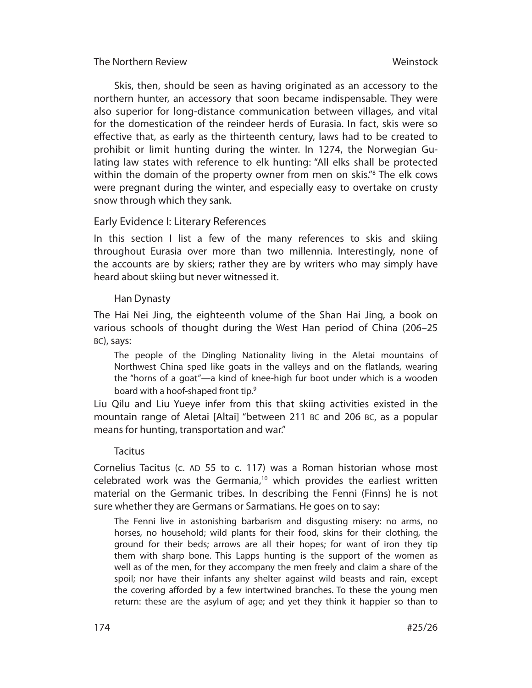Skis, then, should be seen as having originated as an accessory to the northern hunter, an accessory that soon became indispensable. They were also superior for long-distance communication between villages, and vital for the domestication of the reindeer herds of Eurasia. In fact, skis were so effective that, as early as the thirteenth century, laws had to be created to prohibit or limit hunting during the winter. In 1274, the Norwegian Gulating law states with reference to elk hunting: "All elks shall be protected within the domain of the property owner from men on skis."8 The elk cows were pregnant during the winter, and especially easy to overtake on crusty snow through which they sank.

# Early Evidence I: Literary References

In this section I list a few of the many references to skis and skiing throughout Eurasia over more than two millennia. Interestingly, none of the accounts are by skiers; rather they are by writers who may simply have heard about skiing but never witnessed it.

# Han Dynasty

The Hai Nei Jing, the eighteenth volume of the Shan Hai Jing, a book on various schools of thought during the West Han period of China (206–25 BC), says:

The people of the Dingling Nationality living in the Aletai mountains of Northwest China sped like goats in the valleys and on the flatlands, wearing the "horns of a goat"—a kind of knee-high fur boot under which is a wooden board with a hoof-shaped front tip.<sup>9</sup>

Liu Qilu and Liu Yueye infer from this that skiing activities existed in the mountain range of Aletai [Altai] "between 211 BC and 206 BC, as a popular means for hunting, transportation and war."

#### Tacitus

Cornelius Tacitus (c. AD 55 to c. 117) was a Roman historian whose most celebrated work was the Germania,<sup>10</sup> which provides the earliest written material on the Germanic tribes. In describing the Fenni (Finns) he is not sure whether they are Germans or Sarmatians. He goes on to say:

The Fenni live in astonishing barbarism and disgusting misery: no arms, no horses, no household; wild plants for their food, skins for their clothing, the ground for their beds; arrows are all their hopes; for want of iron they tip them with sharp bone. This Lapps hunting is the support of the women as well as of the men, for they accompany the men freely and claim a share of the spoil; nor have their infants any shelter against wild beasts and rain, except the covering afforded by a few intertwined branches. To these the young men return: these are the asylum of age; and yet they think it happier so than to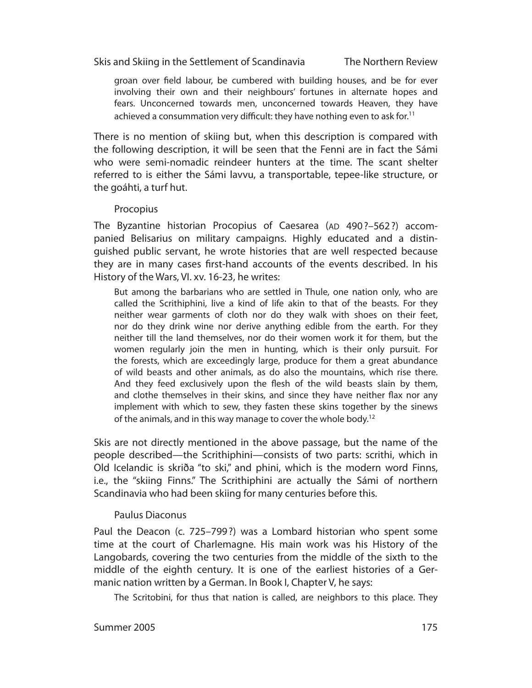The Northern Review

groan over field labour, be cumbered with building houses, and be for ever involving their own and their neighbours' fortunes in alternate hopes and fears. Unconcerned towards men, unconcerned towards Heaven, they have achieved a consummation very difficult: they have nothing even to ask for.<sup>11</sup>

There is no mention of skiing but, when this description is compared with the following description, it will be seen that the Fenni are in fact the Sámi who were semi-nomadic reindeer hunters at the time. The scant shelter referred to is either the Sámi lavvu, a transportable, tepee-like structure, or the goáhti, a turf hut.

#### Procopius

The Byzantine historian Procopius of Caesarea (AD 490?–562?) accompanied Belisarius on military campaigns. Highly educated and a distinguished public servant, he wrote histories that are well respected because they are in many cases first-hand accounts of the events described. In his History of the Wars, VI. xv. 16-23, he writes:

But among the barbarians who are settled in Thule, one nation only, who are called the Scrithiphini, live a kind of life akin to that of the beasts. For they neither wear garments of cloth nor do they walk with shoes on their feet, nor do they drink wine nor derive anything edible from the earth. For they neither till the land themselves, nor do their women work it for them, but the women regularly join the men in hunting, which is their only pursuit. For the forests, which are exceedingly large, produce for them a great abundance of wild beasts and other animals, as do also the mountains, which rise there. And they feed exclusively upon the flesh of the wild beasts slain by them, and clothe themselves in their skins, and since they have neither flax nor any implement with which to sew, they fasten these skins together by the sinews of the animals, and in this way manage to cover the whole body.<sup>12</sup>

Skis are not directly mentioned in the above passage, but the name of the people described—the Scrithiphini—consists of two parts: scrithi, which in Old Icelandic is skriða "to ski," and phini, which is the modern word Finns, i.e., the "skiing Finns." The Scrithiphini are actually the Sámi of northern Scandinavia who had been skiing for many centuries before this.

#### Paulus Diaconus

Paul the Deacon (c. 725–799 ?) was a Lombard historian who spent some time at the court of Charlemagne. His main work was his History of the Langobards, covering the two centuries from the middle of the sixth to the middle of the eighth century. It is one of the earliest histories of a Germanic nation written by a German. In Book I, Chapter V, he says:

The Scritobini, for thus that nation is called, are neighbors to this place. They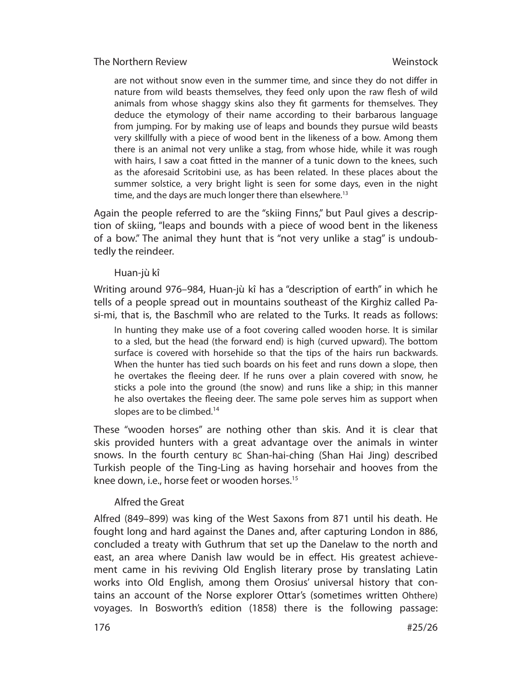are not without snow even in the summer time, and since they do not differ in nature from wild beasts themselves, they feed only upon the raw flesh of wild animals from whose shaggy skins also they fit garments for themselves. They deduce the etymology of their name according to their barbarous language from jumping. For by making use of leaps and bounds they pursue wild beasts very skillfully with a piece of wood bent in the likeness of a bow. Among them there is an animal not very unlike a stag, from whose hide, while it was rough with hairs, I saw a coat fitted in the manner of a tunic down to the knees, such as the aforesaid Scritobini use, as has been related. In these places about the summer solstice, a very bright light is seen for some days, even in the night time, and the days are much longer there than elsewhere.<sup>13</sup>

Again the people referred to are the "skiing Finns," but Paul gives a description of skiing, "leaps and bounds with a piece of wood bent in the likeness of a bow." The animal they hunt that is "not very unlike a stag" is undoubtedly the reindeer.

# Huan-jù kî

Writing around 976–984, Huan-jù kî has a "description of earth" in which he tells of a people spread out in mountains southeast of the Kirghiz called Pasi-mi, that is, the Baschmîl who are related to the Turks. It reads as follows:

In hunting they make use of a foot covering called wooden horse. It is similar to a sled, but the head (the forward end) is high (curved upward). The bottom surface is covered with horsehide so that the tips of the hairs run backwards. When the hunter has tied such boards on his feet and runs down a slope, then he overtakes the fleeing deer. If he runs over a plain covered with snow, he sticks a pole into the ground (the snow) and runs like a ship; in this manner he also overtakes the fleeing deer. The same pole serves him as support when slopes are to be climbed.<sup>14</sup>

These "wooden horses" are nothing other than skis. And it is clear that skis provided hunters with a great advantage over the animals in winter snows. In the fourth century BC Shan-hai-ching (Shan Hai Jing) described Turkish people of the Ting-Ling as having horsehair and hooves from the knee down, i.e., horse feet or wooden horses.<sup>15</sup>

# Alfred the Great

176

Alfred (849–899) was king of the West Saxons from 871 until his death. He fought long and hard against the Danes and, after capturing London in 886, concluded a treaty with Guthrum that set up the Danelaw to the north and east, an area where Danish law would be in effect. His greatest achievement came in his reviving Old English literary prose by translating Latin works into Old English, among them Orosius' universal history that contains an account of the Norse explorer Ottar's (sometimes written Ohthere) voyages. In Bosworth's edition (1858) there is the following passage: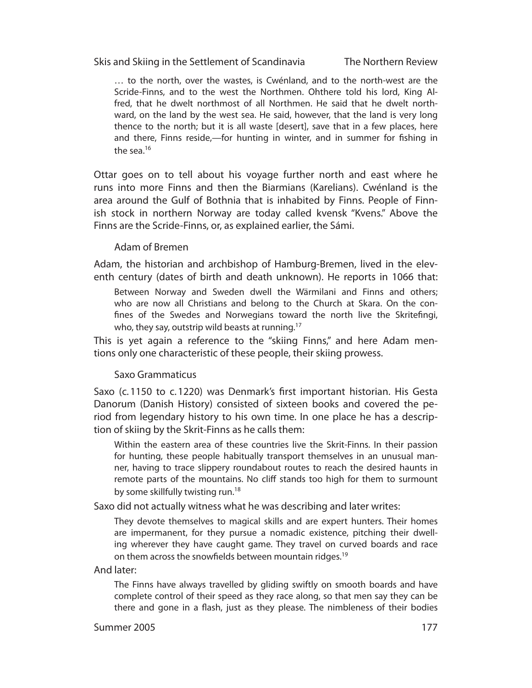The Northern Review

… to the north, over the wastes, is Cwénland, and to the north-west are the Scride-Finns, and to the west the Northmen. Ohthere told his lord, King Alfred, that he dwelt northmost of all Northmen. He said that he dwelt northward, on the land by the west sea. He said, however, that the land is very long thence to the north; but it is all waste [desert], save that in a few places, here and there, Finns reside,—for hunting in winter, and in summer for fishing in the sea. $16$ 

Ottar goes on to tell about his voyage further north and east where he runs into more Finns and then the Biarmians (Karelians). Cwénland is the area around the Gulf of Bothnia that is inhabited by Finns. People of Finnish stock in northern Norway are today called kvensk "Kvens." Above the Finns are the Scride-Finns, or, as explained earlier, the Sámi.

#### Adam of Bremen

Adam, the historian and archbishop of Hamburg-Bremen, lived in the eleventh century (dates of birth and death unknown). He reports in 1066 that:

Between Norway and Sweden dwell the Wärmilani and Finns and others; who are now all Christians and belong to the Church at Skara. On the confines of the Swedes and Norwegians toward the north live the Skritefingi, who, they say, outstrip wild beasts at running.<sup>17</sup>

This is yet again a reference to the "skiing Finns," and here Adam mentions only one characteristic of these people, their skiing prowess.

#### Saxo Grammaticus

Saxo (c. 1150 to c. 1220) was Denmark's first important historian. His Gesta Danorum (Danish History) consisted of sixteen books and covered the period from legendary history to his own time. In one place he has a description of skiing by the Skrit-Finns as he calls them:

Within the eastern area of these countries live the Skrit-Finns. In their passion for hunting, these people habitually transport themselves in an unusual manner, having to trace slippery roundabout routes to reach the desired haunts in remote parts of the mountains. No cliff stands too high for them to surmount by some skillfully twisting run.<sup>18</sup>

Saxo did not actually witness what he was describing and later writes:

They devote themselves to magical skills and are expert hunters. Their homes are impermanent, for they pursue a nomadic existence, pitching their dwelling wherever they have caught game. They travel on curved boards and race on them across the snowfields between mountain ridges.<sup>19</sup>

And later:

The Finns have always travelled by gliding swiftly on smooth boards and have complete control of their speed as they race along, so that men say they can be there and gone in a flash, just as they please. The nimbleness of their bodies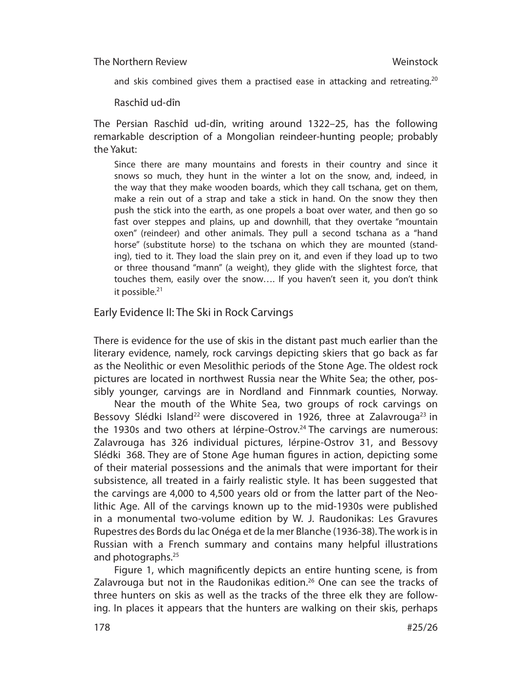and skis combined gives them a practised ease in attacking and retreating.<sup>20</sup>

Raschîd ud-dîn

The Persian Raschîd ud-dîn, writing around 1322–25, has the following remarkable description of a Mongolian reindeer-hunting people; probably the Yakut:

Since there are many mountains and forests in their country and since it snows so much, they hunt in the winter a lot on the snow, and, indeed, in the way that they make wooden boards, which they call tschana, get on them, make a rein out of a strap and take a stick in hand. On the snow they then push the stick into the earth, as one propels a boat over water, and then go so fast over steppes and plains, up and downhill, that they overtake "mountain oxen" (reindeer) and other animals. They pull a second tschana as a "hand horse" (substitute horse) to the tschana on which they are mounted (standing), tied to it. They load the slain prey on it, and even if they load up to two or three thousand "mann" (a weight), they glide with the slightest force, that touches them, easily over the snow…. If you haven't seen it, you don't think it possible.<sup>21</sup>

Early Evidence II: The Ski in Rock Carvings

There is evidence for the use of skis in the distant past much earlier than the literary evidence, namely, rock carvings depicting skiers that go back as far as the Neolithic or even Mesolithic periods of the Stone Age. The oldest rock pictures are located in northwest Russia near the White Sea; the other, possibly younger, carvings are in Nordland and Finnmark counties, Norway.

Near the mouth of the White Sea, two groups of rock carvings on Bessovy Slédki Island<sup>22</sup> were discovered in 1926, three at Zalavrouga<sup>23</sup> in the 1930s and two others at lérpine-Ostrov.<sup>24</sup> The carvings are numerous: Zalavrouga has 326 individual pictures, lérpine-Ostrov 31, and Bessovy Slédki 368. They are of Stone Age human figures in action, depicting some of their material possessions and the animals that were important for their subsistence, all treated in a fairly realistic style. It has been suggested that the carvings are 4,000 to 4,500 years old or from the latter part of the Neolithic Age. All of the carvings known up to the mid-1930s were published in a monumental two-volume edition by W. J. Raudonikas: Les Gravures Rupestres des Bords du lac Onéga et de la mer Blanche (1936-38). The work is in Russian with a French summary and contains many helpful illustrations and photographs.<sup>25</sup>

Figure 1, which magnificently depicts an entire hunting scene, is from Zalavrouga but not in the Raudonikas edition.<sup>26</sup> One can see the tracks of three hunters on skis as well as the tracks of the three elk they are following. In places it appears that the hunters are walking on their skis, perhaps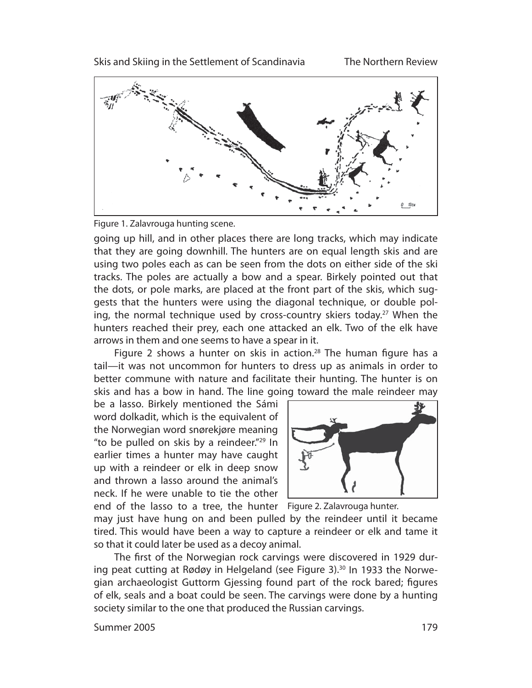



going up hill, and in other places there are long tracks, which may indicate that they are going downhill. The hunters are on equal length skis and are using two poles each as can be seen from the dots on either side of the ski tracks. The poles are actually a bow and a spear. Birkely pointed out that the dots, or pole marks, are placed at the front part of the skis, which suggests that the hunters were using the diagonal technique, or double poling, the normal technique used by cross-country skiers today.<sup>27</sup> When the hunters reached their prey, each one attacked an elk. Two of the elk have arrows in them and one seems to have a spear in it.

Figure 2 shows a hunter on skis in action.<sup>28</sup> The human figure has a tail—it was not uncommon for hunters to dress up as animals in order to better commune with nature and facilitate their hunting. The hunter is on skis and has a bow in hand. The line going toward the male reindeer may

be a lasso. Birkely mentioned the Sámi word dolkadit, which is the equivalent of the Norwegian word snørekjøre meaning "to be pulled on skis by a reindeer."<sup>29</sup> In earlier times a hunter may have caught up with a reindeer or elk in deep snow and thrown a lasso around the animal's neck. If he were unable to tie the other



end of the lasso to a tree, the hunter Figure 2. Zalavrouga hunter.

may just have hung on and been pulled by the reindeer until it became tired. This would have been a way to capture a reindeer or elk and tame it so that it could later be used as a decoy animal.

The first of the Norwegian rock carvings were discovered in 1929 during peat cutting at Rødøy in Helgeland (see Figure 3). $30$  In 1933 the Norwegian archaeologist Guttorm Gjessing found part of the rock bared; figures of elk, seals and a boat could be seen. The carvings were done by a hunting society similar to the one that produced the Russian carvings.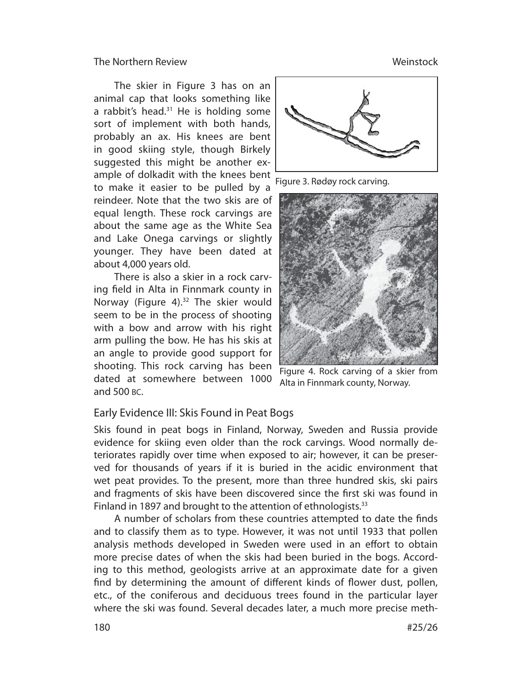The skier in Figure 3 has on an animal cap that looks something like a rabbit's head. $31$  He is holding some sort of implement with both hands, probably an ax. His knees are bent in good skiing style, though Birkely suggested this might be another example of dolkadit with the knees bent to make it easier to be pulled by a reindeer. Note that the two skis are of equal length. These rock carvings are about the same age as the White Sea and Lake Onega carvings or slightly younger. They have been dated at about 4,000 years old.

There is also a skier in a rock carving field in Alta in Finnmark county in Norway (Figure 4).32 The skier would seem to be in the process of shooting with a bow and arrow with his right arm pulling the bow. He has his skis at an angle to provide good support for shooting. This rock carving has been dated at somewhere between 1000 and 500 BC.



Figure 3. Rødøy rock carving.



Figure 4. Rock carving of a skier from Alta in Finnmark county, Norway.

# Early Evidence III: Skis Found in Peat Bogs

Skis found in peat bogs in Finland, Norway, Sweden and Russia provide evidence for skiing even older than the rock carvings. Wood normally deteriorates rapidly over time when exposed to air; however, it can be preserved for thousands of years if it is buried in the acidic environment that wet peat provides. To the present, more than three hundred skis, ski pairs and fragments of skis have been discovered since the first ski was found in Finland in 1897 and brought to the attention of ethnologists.<sup>33</sup>

A number of scholars from these countries attempted to date the finds and to classify them as to type. However, it was not until 1933 that pollen analysis methods developed in Sweden were used in an effort to obtain more precise dates of when the skis had been buried in the bogs. According to this method, geologists arrive at an approximate date for a given find by determining the amount of different kinds of flower dust, pollen, etc., of the coniferous and deciduous trees found in the particular layer where the ski was found. Several decades later, a much more precise meth-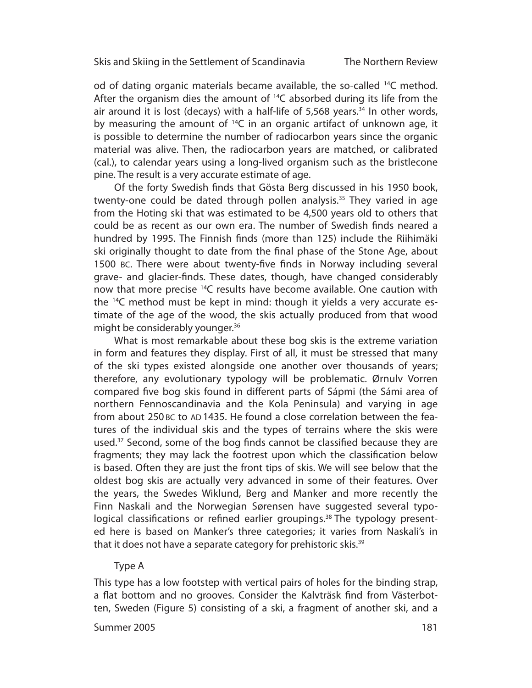od of dating organic materials became available, the so-called  $^{14}C$  method. After the organism dies the amount of  $^{14}C$  absorbed during its life from the air around it is lost (decays) with a half-life of  $5,568$  years.<sup>34</sup> In other words, by measuring the amount of  $^{14}C$  in an organic artifact of unknown age, it is possible to determine the number of radiocarbon years since the organic material was alive. Then, the radiocarbon years are matched, or calibrated (cal.), to calendar years using a long-lived organism such as the bristlecone pine. The result is a very accurate estimate of age.

Of the forty Swedish finds that Gösta Berg discussed in his 1950 book, twenty-one could be dated through pollen analysis.<sup>35</sup> They varied in age from the Hoting ski that was estimated to be 4,500 years old to others that could be as recent as our own era. The number of Swedish finds neared a hundred by 1995. The Finnish finds (more than 125) include the Riihimäki ski originally thought to date from the final phase of the Stone Age, about 1500 BC. There were about twenty-five finds in Norway including several grave- and glacier-finds. These dates, though, have changed considerably now that more precise <sup>14</sup>C results have become available. One caution with the 14C method must be kept in mind: though it yields a very accurate estimate of the age of the wood, the skis actually produced from that wood might be considerably younger.<sup>36</sup>

What is most remarkable about these bog skis is the extreme variation in form and features they display. First of all, it must be stressed that many of the ski types existed alongside one another over thousands of years; therefore, any evolutionary typology will be problematic. Ørnuly Vorren compared five bog skis found in different parts of Sápmi (the Sámi area of northern Fennoscandinavia and the Kola Peninsula) and varying in age from about 250 BC to AD 1435. He found a close correlation between the features of the individual skis and the types of terrains where the skis were used.<sup>37</sup> Second, some of the bog finds cannot be classified because they are fragments; they may lack the footrest upon which the classification below is based. Often they are just the front tips of skis. We will see below that the oldest bog skis are actually very advanced in some of their features. Over the years, the Swedes Wiklund, Berg and Manker and more recently the Finn Naskali and the Norwegian Sørensen have suggested several typological classifications or refined earlier groupings.<sup>38</sup> The typology presented here is based on Manker's three categories; it varies from Naskali's in that it does not have a separate category for prehistoric skis.<sup>39</sup>

#### Type A

This type has a low footstep with vertical pairs of holes for the binding strap, a flat bottom and no grooves. Consider the Kalvträsk find from Västerbotten, Sweden (Figure 5) consisting of a ski, a fragment of another ski, and a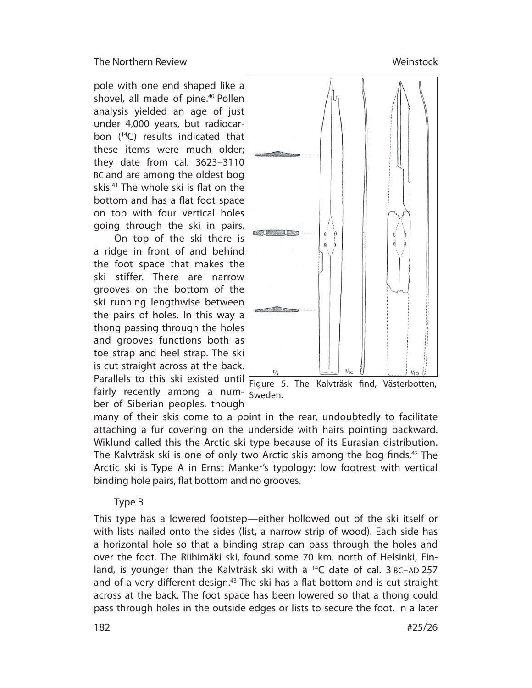pole with one end shaped like a shovel, all made of pine.<sup>40</sup> Pollen analysis yielded an age of just under 4,000 years, but radiocarbon (14C) results indicated that these items were much older; they date from cal. 3623–3110 BC and are among the oldest bog skis. $41$  The whole ski is flat on the bottom and has a flat foot space on top with four vertical holes going through the ski in pairs.

On top of the ski there is a ridge in front of and behind the foot space that makes the ski stiffer. There are narrow grooves on the bottom of the ski running lengthwise between the pairs of holes. In this way a thong passing through the holes and grooves functions both as toe strap and heel strap. The ski is cut straight across at the back. Parallels to this ski existed until  $\frac{1}{2}$  Figure 5. The Kalvträsk find, Västerbotten, fairly recently among a num- Sweden. ber of Siberian peoples, though



many of their skis come to a point in the rear, undoubtedly to facilitate attaching a fur covering on the underside with hairs pointing backward. Wiklund called this the Arctic ski type because of its Eurasian distribution. The Kalvträsk ski is one of only two Arctic skis among the bog finds.<sup>42</sup> The Arctic ski is Type A in Ernst Manker's typology: low footrest with vertical binding hole pairs, flat bottom and no grooves.

#### Type B

This type has a lowered footstep—either hollowed out of the ski itself or with lists nailed onto the sides (list, a narrow strip of wood). Each side has a horizontal hole so that a binding strap can pass through the holes and over the foot. The Riihimäki ski, found some 70 km. north of Helsinki, Finland, is younger than the Kalvträsk ski with a  $^{14}C$  date of cal. 3 BC-AD 257 and of a very different design.<sup>43</sup> The ski has a flat bottom and is cut straight across at the back. The foot space has been lowered so that a thong could pass through holes in the outside edges or lists to secure the foot. In a later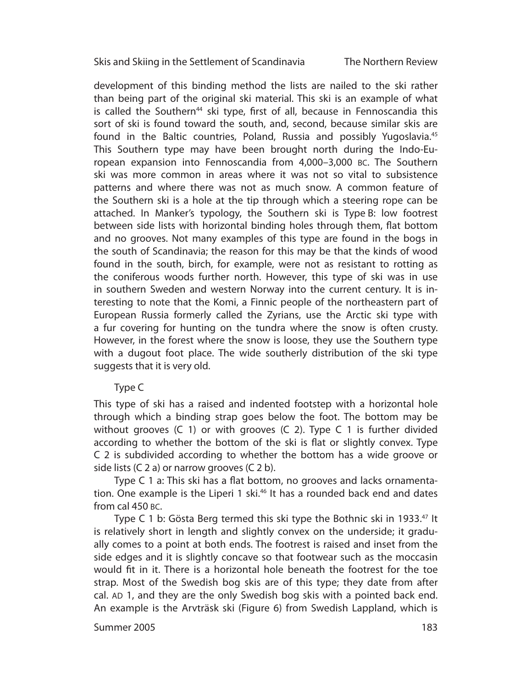The Northern Review

development of this binding method the lists are nailed to the ski rather than being part of the original ski material. This ski is an example of what is called the Southern<sup>44</sup> ski type, first of all, because in Fennoscandia this sort of ski is found toward the south, and, second, because similar skis are found in the Baltic countries, Poland, Russia and possibly Yugoslavia.45 This Southern type may have been brought north during the Indo-European expansion into Fennoscandia from 4,000–3,000 BC. The Southern ski was more common in areas where it was not so vital to subsistence patterns and where there was not as much snow. A common feature of the Southern ski is a hole at the tip through which a steering rope can be attached. In Manker's typology, the Southern ski is Type B: low footrest between side lists with horizontal binding holes through them, flat bottom and no grooves. Not many examples of this type are found in the bogs in the south of Scandinavia; the reason for this may be that the kinds of wood found in the south, birch, for example, were not as resistant to rotting as the coniferous woods further north. However, this type of ski was in use in southern Sweden and western Norway into the current century. It is interesting to note that the Komi, a Finnic people of the northeastern part of European Russia formerly called the Zyrians, use the Arctic ski type with a fur covering for hunting on the tundra where the snow is often crusty. However, in the forest where the snow is loose, they use the Southern type with a dugout foot place. The wide southerly distribution of the ski type suggests that it is very old.

# Type C

This type of ski has a raised and indented footstep with a horizontal hole through which a binding strap goes below the foot. The bottom may be without grooves (C 1) or with grooves (C 2). Type C 1 is further divided according to whether the bottom of the ski is flat or slightly convex. Type C 2 is subdivided according to whether the bottom has a wide groove or side lists (C 2 a) or narrow grooves (C 2 b).

Type C 1 a: This ski has a flat bottom, no grooves and lacks ornamentation. One example is the Liperi 1 ski.<sup>46</sup> It has a rounded back end and dates from cal 450 BC.

Type C 1 b: Gösta Berg termed this ski type the Bothnic ski in 1933.<sup>47</sup> It is relatively short in length and slightly convex on the underside; it gradually comes to a point at both ends. The footrest is raised and inset from the side edges and it is slightly concave so that footwear such as the moccasin would fit in it. There is a horizontal hole beneath the footrest for the toe strap. Most of the Swedish bog skis are of this type; they date from after cal. AD 1, and they are the only Swedish bog skis with a pointed back end. An example is the Arvträsk ski (Figure 6) from Swedish Lappland, which is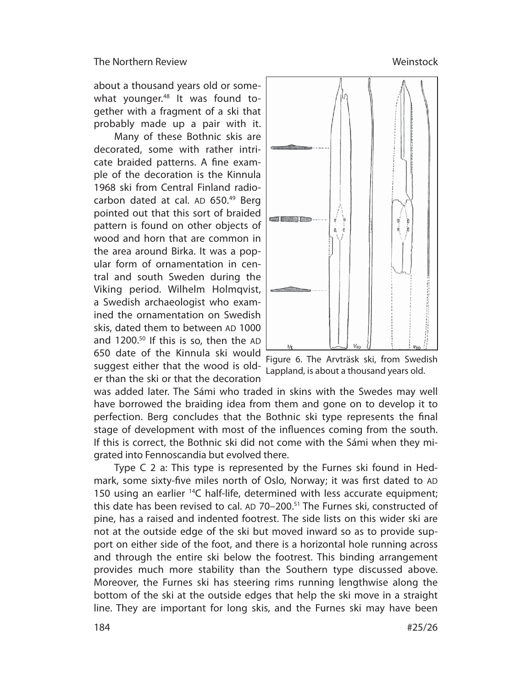about a thousand years old or somewhat younger.<sup>48</sup> It was found together with a fragment of a ski that probably made up a pair with it.

Many of these Bothnic skis are decorated, some with rather intricate braided patterns. A fine example of the decoration is the Kinnula 1968 ski from Central Finland radiocarbon dated at cal. AD 650.<sup>49</sup> Berg pointed out that this sort of braided pattern is found on other objects of wood and horn that are common in the area around Birka. It was a popular form of ornamentation in central and south Sweden during the Viking period. Wilhelm Holmqvist, a Swedish archaeologist who examined the ornamentation on Swedish skis, dated them to between AD 1000 and 1200.50 If this is so, then the AD 650 date of the Kinnula ski would suggest either that the wood is older than the ski or that the decoration



Figure 6. The Arvträsk ski, from Swedish Lappland, is about a thousand years old.

was added later. The Sámi who traded in skins with the Swedes may well have borrowed the braiding idea from them and gone on to develop it to perfection. Berg concludes that the Bothnic ski type represents the final stage of development with most of the influences coming from the south. If this is correct, the Bothnic ski did not come with the Sámi when they migrated into Fennoscandia but evolved there.

Type C 2 a: This type is represented by the Furnes ski found in Hedmark, some sixty-five miles north of Oslo, Norway; it was first dated to AD 150 using an earlier <sup>14</sup>C half-life, determined with less accurate equipment; this date has been revised to cal. AD 70–200.51 The Furnes ski, constructed of pine, has a raised and indented footrest. The side lists on this wider ski are not at the outside edge of the ski but moved inward so as to provide support on either side of the foot, and there is a horizontal hole running across and through the entire ski below the footrest. This binding arrangement provides much more stability than the Southern type discussed above. Moreover, the Furnes ski has steering rims running lengthwise along the bottom of the ski at the outside edges that help the ski move in a straight line. They are important for long skis, and the Furnes ski may have been

# **Weinstock**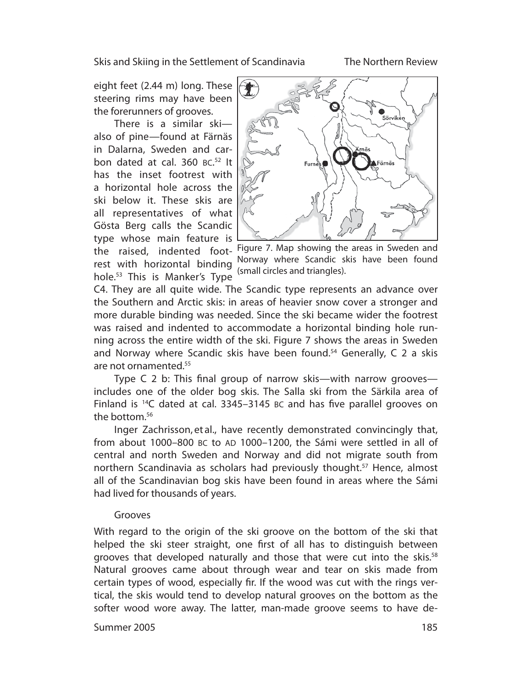The Northern Review

eight feet (2.44 m) long. These steering rims may have been the forerunners of grooves.

There is a similar ski also of pine—found at Färnäs in Dalarna, Sweden and carbon dated at cal. 360 BC. 52 It has the inset footrest with a horizontal hole across the ski below it. These skis are all representatives of what Gösta Berg calls the Scandic type whose main feature is rest with nonzontal binding (small circles and triangles).<br>hole.<sup>53</sup> This is Manker's Type



the raised, indented foot-Figure 7. Map showing the areas in Sweden and rest with horizontal binding Norway where Scandic skis have been found

C4. They are all quite wide. The Scandic type represents an advance over the Southern and Arctic skis: in areas of heavier snow cover a stronger and more durable binding was needed. Since the ski became wider the footrest was raised and indented to accommodate a horizontal binding hole running across the entire width of the ski. Figure 7 shows the areas in Sweden and Norway where Scandic skis have been found.<sup>54</sup> Generally, C 2 a skis are not ornamented.55

Type C 2 b: This final group of narrow skis—with narrow grooves includes one of the older bog skis. The Salla ski from the Särkila area of Finland is  $14C$  dated at cal. 3345-3145 BC and has five parallel grooves on the bottom. $56$ 

Inger Zachrisson, et al., have recently demonstrated convincingly that, from about 1000–800 BC to AD 1000–1200, the Sámi were settled in all of central and north Sweden and Norway and did not migrate south from northern Scandinavia as scholars had previously thought.<sup>57</sup> Hence, almost all of the Scandinavian bog skis have been found in areas where the Sámi had lived for thousands of years.

#### Grooves

With regard to the origin of the ski groove on the bottom of the ski that helped the ski steer straight, one first of all has to distinguish between grooves that developed naturally and those that were cut into the skis.<sup>58</sup> Natural grooves came about through wear and tear on skis made from certain types of wood, especially fir. If the wood was cut with the rings vertical, the skis would tend to develop natural grooves on the bottom as the softer wood wore away. The latter, man-made groove seems to have de-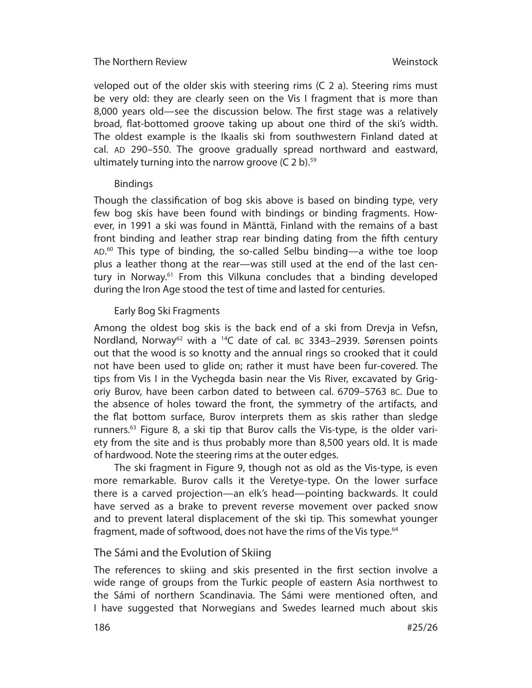veloped out of the older skis with steering rims (C 2 a). Steering rims must be very old: they are clearly seen on the Vis I fragment that is more than 8,000 years old—see the discussion below. The first stage was a relatively broad, flat-bottomed groove taking up about one third of the ski's width. The oldest example is the Ikaalis ski from southwestern Finland dated at cal. AD 290–550. The groove gradually spread northward and eastward, ultimately turning into the narrow groove  $(C 2 b)$ .<sup>59</sup>

# **Bindings**

Though the classification of bog skis above is based on binding type, very few bog skis have been found with bindings or binding fragments. However, in 1991 a ski was found in Mänttä, Finland with the remains of a bast front binding and leather strap rear binding dating from the fifth century AD. 60 This type of binding, the so-called Selbu binding—a withe toe loop plus a leather thong at the rear—was still used at the end of the last century in Norway.61 From this Vilkuna concludes that a binding developed during the Iron Age stood the test of time and lasted for centuries.

# Early Bog Ski Fragments

Among the oldest bog skis is the back end of a ski from Drevja in Vefsn, Nordland, Norway<sup>62</sup> with a <sup>14</sup>C date of cal. BC 3343–2939. Sørensen points out that the wood is so knotty and the annual rings so crooked that it could not have been used to glide on; rather it must have been fur-covered. The tips from Vis I in the Vychegda basin near the Vis River, excavated by Grigoriy Burov, have been carbon dated to between cal. 6709–5763 BC. Due to the absence of holes toward the front, the symmetry of the artifacts, and the flat bottom surface, Burov interprets them as skis rather than sledge runners.<sup>63</sup> Figure 8, a ski tip that Burov calls the Vis-type, is the older variety from the site and is thus probably more than 8,500 years old. It is made of hardwood. Note the steering rims at the outer edges.

The ski fragment in Figure 9, though not as old as the Vis-type, is even more remarkable. Burov calls it the Veretye-type. On the lower surface there is a carved projection—an elk's head—pointing backwards. It could have served as a brake to prevent reverse movement over packed snow and to prevent lateral displacement of the ski tip. This somewhat younger fragment, made of softwood, does not have the rims of the Vis type.<sup>64</sup>

# The Sámi and the Evolution of Skiing

The references to skiing and skis presented in the first section involve a wide range of groups from the Turkic people of eastern Asia northwest to the Sámi of northern Scandinavia. The Sámi were mentioned often, and I have suggested that Norwegians and Swedes learned much about skis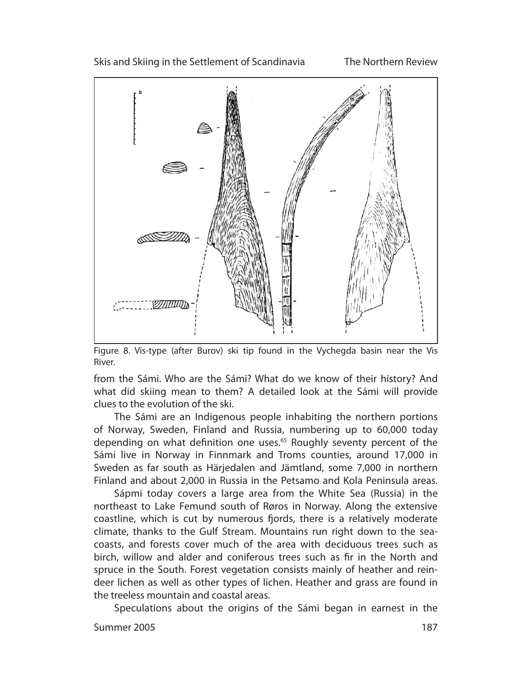

Figure 8. Vis-type (after Burov) ski tip found in the Vychegda basin near the Vis River.

from the Sámi. Who are the Sámi? What do we know of their history? And what did skiing mean to them? A detailed look at the Sámi will provide clues to the evolution of the ski.

The Sámi are an Indigenous people inhabiting the northern portions of Norway, Sweden, Finland and Russia, numbering up to 60,000 today depending on what definition one uses.<sup>65</sup> Roughly seventy percent of the Sámi live in Norway in Finnmark and Troms counties, around 17,000 in Sweden as far south as Härjedalen and Jämtland, some 7,000 in northern Finland and about 2,000 in Russia in the Petsamo and Kola Peninsula areas.

Sápmi today covers a large area from the White Sea (Russia) in the northeast to Lake Femund south of Røros in Norway. Along the extensive coastline, which is cut by numerous fjords, there is a relatively moderate cli mate, thanks to the Gulf Stream. Mountains run right down to the seacoasts, and forests cover much of the area with deciduous trees such as birch, willow and alder and coniferous trees such as fir in the North and spruce in the South. Forest vegetation consists mainly of heather and reindeer lichen as well as other types of lichen. Heather and grass are found in the treeless mountain and coastal areas.

Speculations about the origins of the Sámi began in earnest in the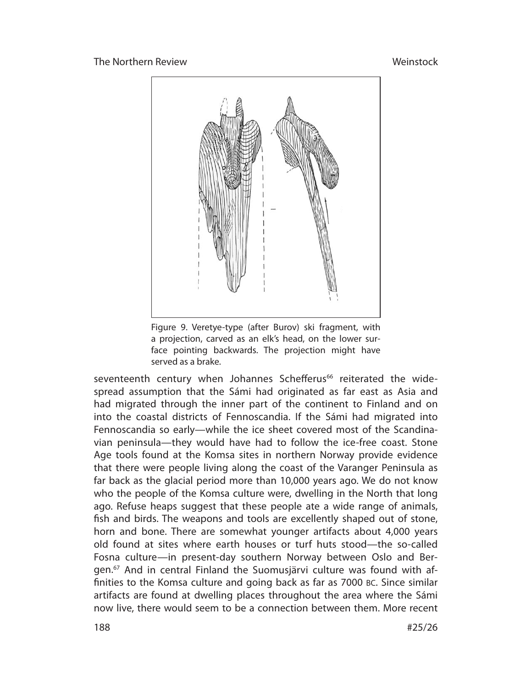

Figure 9. Veretye-type (after Burov) ski fragment, with a projection, carved as an elk's head, on the lower surface pointing backwards. The projection might have served as a brake.

seventeenth century when Johannes Schefferus<sup>66</sup> reiterated the widespread assumption that the Sámi had originated as far east as Asia and had migrated through the inner part of the continent to Finland and on into the coastal districts of Fennoscandia. If the Sámi had migrated into Fennoscandia so early—while the ice sheet covered most of the Scandinavian peninsula—they would have had to follow the ice-free coast. Stone Age tools found at the Komsa sites in northern Norway provide evidence that there were people living along the coast of the Varanger Peninsula as far back as the glacial period more than 10,000 years ago. We do not know who the people of the Komsa culture were, dwelling in the North that long ago. Refuse heaps suggest that these people ate a wide range of animals, fish and birds. The weapons and tools are excellently shaped out of stone, horn and bone. There are somewhat younger artifacts about 4,000 years old found at sites where earth houses or turf huts stood—the so-called Fosna culture—in present-day southern Norway between Oslo and Bergen.<sup>67</sup> And in central Finland the Suomusjärvi culture was found with affinities to the Komsa culture and going back as far as 7000 BC. Since similar artifacts are found at dwelling places throughout the area where the Sámi now live, there would seem to be a connection between them. More recent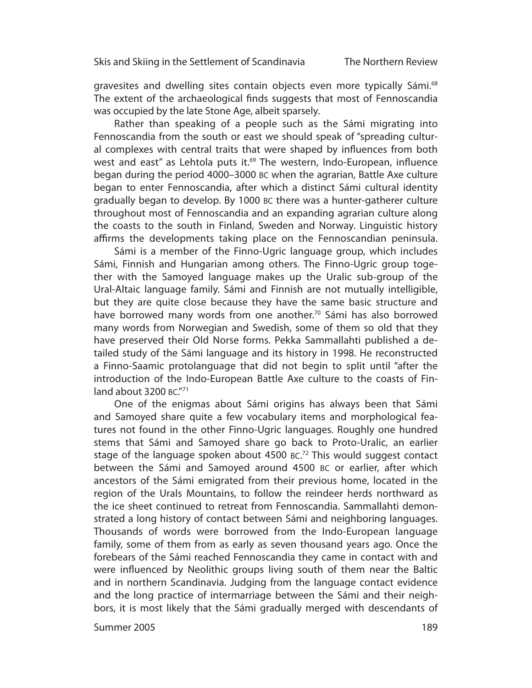gravesites and dwelling sites contain objects even more typically Sámi.<sup>68</sup> The extent of the archaeological finds suggests that most of Fennoscandia was occupied by the late Stone Age, albeit sparsely.

Rather than speaking of a people such as the Sámi migrating into Fennoscandia from the south or east we should speak of "spreading cultural complexes with central traits that were shaped by influences from both west and east" as Lehtola puts it.<sup>69</sup> The western, Indo-European, influence began during the period 4000–3000 BC when the agrarian, Battle Axe culture began to enter Fennoscandia, after which a distinct Sámi cultural identity gradually began to develop. By 1000 BC there was a hunter-gatherer culture throughout most of Fennoscandia and an expanding agrarian culture along the coasts to the south in Finland, Sweden and Norway. Linguistic history affirms the developments taking place on the Fennoscandian peninsula.

Sámi is a member of the Finno-Ugric language group, which includes Sámi, Finnish and Hungarian among others. The Finno-Ugric group together with the Samoyed language makes up the Uralic sub-group of the Ural-Altaic language family. Sámi and Finnish are not mutually intelligible, but they are quite close because they have the same basic structure and have borrowed many words from one another.<sup>70</sup> Sámi has also borrowed many words from Norwegian and Swedish, some of them so old that they have preserved their Old Norse forms. Pekka Sammallahti published a detailed study of the Sámi language and its history in 1998. He reconstructed a Finno-Saamic protolanguage that did not begin to split until "after the introduction of the Indo-European Battle Axe culture to the coasts of Finland about 3200 BC."71

One of the enigmas about Sámi origins has always been that Sámi and Samoyed share quite a few vocabulary items and morphological features not found in the other Finno-Ugric languages. Roughly one hundred stems that Sámi and Samoyed share go back to Proto-Uralic, an earlier stage of the language spoken about  $4500$  BC.<sup>72</sup> This would suggest contact between the Sámi and Samoyed around 4500 BC or earlier, after which ancestors of the Sámi emigrated from their previous home, located in the region of the Urals Mountains, to follow the reindeer herds northward as the ice sheet continued to retreat from Fennoscandia. Sammallahti demonstrated a long history of contact between Sámi and neighboring languages. Thousands of words were borrowed from the Indo-European language family, some of them from as early as seven thousand years ago. Once the forebears of the Sámi reached Fennoscandia they came in contact with and were influenced by Neolithic groups living south of them near the Baltic and in northern Scandinavia. Judging from the language contact evidence and the long practice of intermarriage between the Sámi and their neighbors, it is most likely that the Sámi gradually merged with descendants of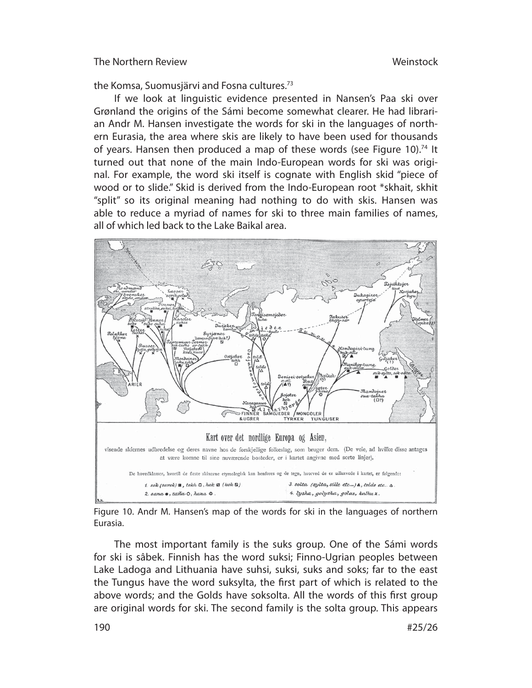the Komsa, Suomusjärvi and Fosna cultures.73

If we look at linguistic evidence presented in Nansen's Paa ski over Grønland the origins of the Sámi become somewhat clearer. He had librarian Andr M. Hansen investigate the words for ski in the languages of northern Eurasia, the area where skis are likely to have been used for thousands of years. Hansen then produced a map of these words (see Figure 10).<sup>74</sup> It turned out that none of the main Indo-European words for ski was original. For example, the word ski itself is cognate with English skid "piece of wood or to slide." Skid is derived from the Indo-European root \*skhait, skhit "split" so its original meaning had nothing to do with skis. Hansen was able to reduce a myriad of names for ski to three main families of names, all of which led back to the Lake Baikal area.



Figure 10. Andr M. Hansen's map of the words for ski in the languages of northern Eurasia.

The most important family is the suks group. One of the Sámi words for ski is sâbek. Finnish has the word suksi; Finno-Ugrian peoples between Lake Ladoga and Lithuania have suhsi, suksi, suks and soks; far to the east the Tungus have the word suksylta, the first part of which is related to the above words; and the Golds have soksolta. All the words of this first group are original words for ski. The second family is the solta group. This appears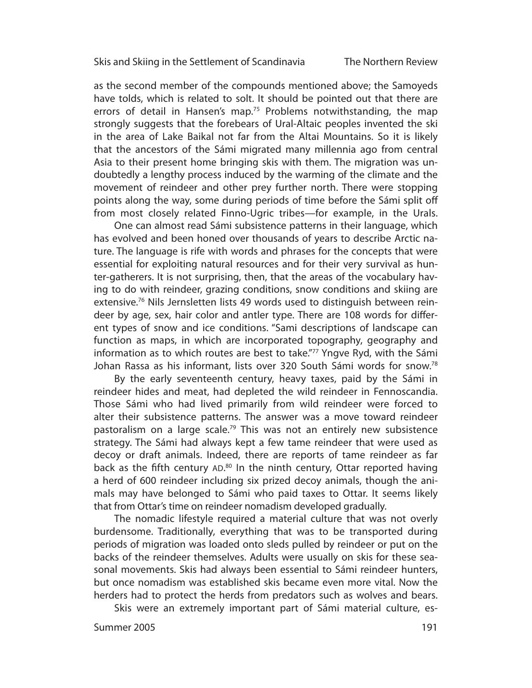The Northern Review

as the second member of the compounds mentioned above; the Samoyeds have tolds, which is related to solt. It should be pointed out that there are errors of detail in Hansen's map.<sup>75</sup> Problems notwithstanding, the map strongly suggests that the forebears of Ural-Altaic peoples invented the ski in the area of Lake Baikal not far from the Altai Mountains. So it is likely that the ancestors of the Sámi migrated many millennia ago from central Asia to their present home bringing skis with them. The migration was undoubtedly a lengthy process induced by the warming of the climate and the movement of reindeer and other prey further north. There were stopping points along the way, some during periods of time before the Sámi split off from most closely related Finno-Ugric tribes—for example, in the Urals.

One can almost read Sámi subsistence patterns in their language, which has evolved and been honed over thousands of years to describe Arctic nature. The language is rife with words and phrases for the concepts that were essential for exploiting natural resources and for their very survival as hunter-gatherers. It is not surprising, then, that the areas of the vocabulary having to do with reindeer, grazing conditions, snow conditions and skiing are extensive.<sup>76</sup> Nils Jernsletten lists 49 words used to distinguish between reindeer by age, sex, hair color and antler type. There are 108 words for different types of snow and ice conditions. "Sami descriptions of landscape can function as maps, in which are incorporated topography, geography and information as to which routes are best to take."<sup>77</sup> Yngve Ryd, with the Sámi Johan Rassa as his informant, lists over 320 South Sámi words for snow.<sup>78</sup>

By the early seventeenth century, heavy taxes, paid by the Sámi in reindeer hides and meat, had depleted the wild reindeer in Fennoscandia. Those Sámi who had lived primarily from wild reindeer were forced to alter their subsistence patterns. The answer was a move toward reindeer pastoralism on a large scale.<sup>79</sup> This was not an entirely new subsistence strategy. The Sámi had always kept a few tame reindeer that were used as decoy or draft animals. Indeed, there are reports of tame reindeer as far back as the fifth century AD.<sup>80</sup> In the ninth century, Ottar reported having a herd of 600 reindeer including six prized decoy animals, though the animals may have belonged to Sámi who paid taxes to Ottar. It seems likely that from Ottar's time on reindeer nomadism developed gradually.

The nomadic lifestyle required a material culture that was not overly burdensome. Traditionally, everything that was to be transported during periods of migration was loaded onto sleds pulled by reindeer or put on the backs of the reindeer themselves. Adults were usually on skis for these seasonal movements. Skis had always been essential to Sámi reindeer hunters, but once nomadism was established skis became even more vital. Now the herders had to protect the herds from predators such as wolves and bears.

Skis were an extremely important part of Sámi material culture, es-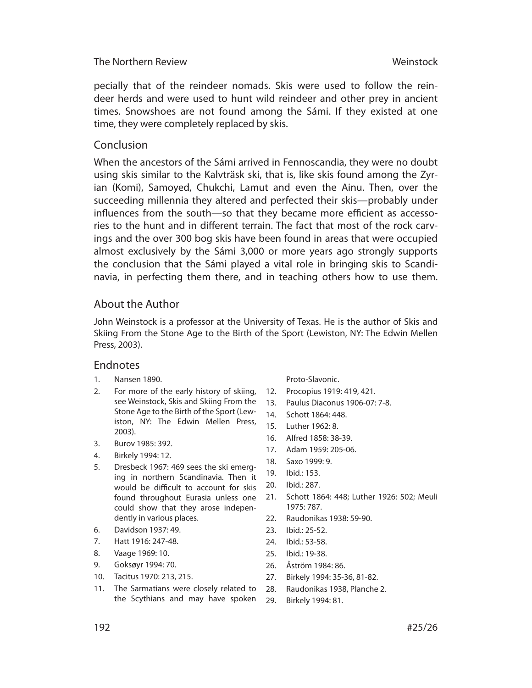pecially that of the reindeer nomads. Skis were used to follow the reindeer herds and were used to hunt wild reindeer and other prey in ancient times. Snow shoes are not found among the Sámi. If they existed at one time, they were completely replaced by skis.

# Conclusion

When the ancestors of the Sámi arrived in Fennoscandia, they were no doubt using skis similar to the Kalvträsk ski, that is, like skis found among the Zyrian (Komi), Samoyed, Chukchi, Lamut and even the Ainu. Then, over the succeeding millennia they altered and perfected their skis—probably under influences from the south—so that they became more efficient as accessories to the hunt and in different terrain. The fact that most of the rock carvings and the over 300 bog skis have been found in areas that were occupied almost exclusively by the Sámi 3,000 or more years ago strongly supports the conclusion that the Sámi played a vital role in bringing skis to Scandinavia, in perfecting them there, and in teaching others how to use them.

# About the Author

John Weinstock is a professor at the University of Texas. He is the author of Skis and Skiing From the Stone Age to the Birth of the Sport (Lewiston, NY: The Edwin Mellen Press, 2003).

#### Endnotes

- 1. Nansen 1890.
- 2. For more of the early history of skiing, see Weinstock, Skis and Skiing From the Stone Age to the Birth of the Sport (Lewiston, NY: The Edwin Mellen Press, 2003).
- 3. Burov 1985: 392.
- 4. Birkely 1994: 12.
- 5. Dresbeck 1967: 469 sees the ski emerging in northern Scandinavia. Then it would be difficult to account for skis found throughout Eurasia unless one could show that they arose independently in various places.
- 6. Davidson 1937: 49.
- 7. Hatt 1916: 247-48.
- 8. Vaage 1969: 10.
- 9. Goksøyr 1994: 70.
- 10. Tacitus 1970: 213, 215.
- 11. The Sarmatians were closely related to the Scythians and may have spoken 29

Proto-Slavonic.

- 12. Procopius 1919: 419, 421.
- 13. Paulus Diaconus 1906-07: 7-8.
- 14. Schott 1864: 448.
- 15. Luther 1962: 8.
- 16. Alfred 1858: 38-39.
- 17. Adam 1959: 205-06.
- 18. Saxo 1999: 9.
- 19. Ibid.: 153.
- 20. Ibid.: 287.
- 21. Schott 1864: 448; Luther 1926: 502; Meuli 1975: 787.
- 22. Raudonikas 1938: 59-90.
- 23. Ibid.: 25-52.
- 24. Ibid.: 53-58.
- 25. Ibid.: 19-38.
- 26. Åström 1984: 86.
- 27. Birkely 1994: 35-36, 81-82.
- 28. Raudonikas 1938, Planche 2.
	- Birkely 1994: 81.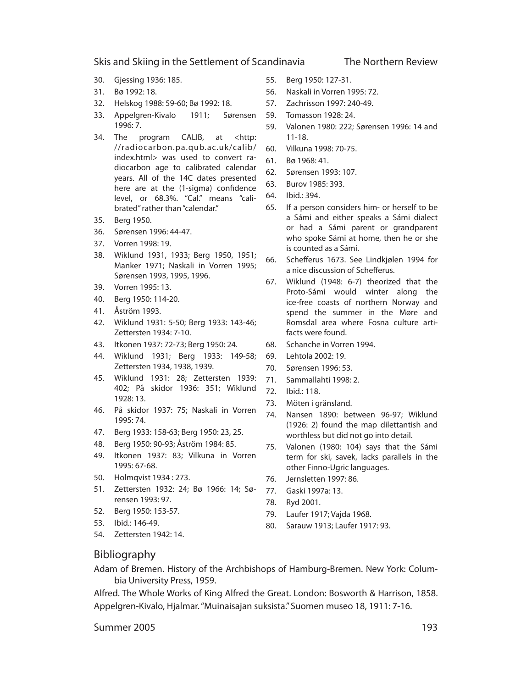- 30. Gjessing 1936: 185.
- 31. Bø 1992: 18.
- 32. Helskog 1988: 59-60; Bø 1992: 18.
- 33. Appelgren-Kivalo 1911; Sørensen 1996: 7.
- 34. The program CALIB, at <http: //radiocarbon.pa.qub.ac.uk/calib/ index.html> was used to convert radiocarbon age to calibrated calendar years. All of the 14C dates presented here are at the (1-sigma) confidence level, or 68.3%. "Cal." means "calibrated" rather than "calendar."
- 35. Berg 1950.
- 36. Sørensen 1996: 44-47.
- 37. Vorren 1998: 19.
- 38. Wiklund 1931, 1933; Berg 1950, 1951; Manker 1971; Naskali in Vorren 1995; Sørensen 1993, 1995, 1996.
- 39. Vorren 1995: 13.
- 40. Berg 1950: 114-20.
- 41. Åström 1993.
- 42. Wiklund 1931: 5-50; Berg 1933: 143-46; Zettersten 1934: 7-10.
- 43. Itkonen 1937: 72-73; Berg 1950: 24.
- 44. Wiklund 1931; Berg 1933: 149-58; Zettersten 1934, 1938, 1939.
- 45. Wiklund 1931: 28; Zettersten 1939: 402; På skidor 1936: 351; Wiklund 1928: 13.
- 46. På skidor 1937: 75; Naskali in Vorren 1995: 74.
- 47. Berg 1933: 158-63; Berg 1950: 23, 25.
- 48. Berg 1950: 90-93; Åström 1984: 85.
- 49. Itkonen 1937: 83; Vilkuna in Vorren 1995: 67-68.
- 50. Holmqvist 1934 : 273.
- 51. Zettersten 1932: 24; Bø 1966: 14; Sørensen 1993: 97.
- 52. Berg 1950: 153-57.
- 53. Ibid.: 146-49.
- 54. Zettersten 1942: 14.
- 55. Berg 1950: 127-31.
- 56. Naskali in Vorren 1995: 72.
- 57. Zachrisson 1997: 240-49.
- 59. Tomasson 1928: 24.
- 59. Valonen 1980: 222; Sørensen 1996: 14 and 11-18.
- 60. Vilkuna 1998: 70-75.
- 61. Bø 1968: 41.
- 62. Sørensen 1993: 107.
- 63. Burov 1985: 393.
- 64. Ibid.: 394.
- 65. If a person considers him- or herself to be a Sámi and either speaks a Sámi dialect or had a Sámi parent or grandparent who spoke Sámi at home, then he or she is counted as a Sámi.
- 66. Schefferus 1673. See Lindkjølen 1994 for a nice discussion of Schefferus.
- 67. Wiklund (1948: 6-7) theorized that the Proto-Sámi would winter along the ice-free coasts of northern Norway and spend the summer in the Møre and Romsdal area where Fosna culture artifacts were found.
- 68. Schanche in Vorren 1994.
- 69. Lehtola 2002: 19.
- 70. Sørensen 1996: 53.
- 71. Sammallahti 1998: 2.
- 72. Ibid.: 118.
- 73. Möten i gränsland.
- 74. Nansen 1890: between 96-97; Wiklund (1926: 2) found the map dilettantish and worthless but did not go into detail.
- 75. Valonen (1980: 104) says that the Sámi term for ski, savek, lacks parallels in the other Finno-Ugric languages.
- 76. Jernsletten 1997: 86.
- 77. Gaski 1997a: 13.
- 78. Ryd 2001.
- 79. Laufer 1917; Vajda 1968.
- 80. Sarauw 1913; Laufer 1917: 93.

#### Bibliography

Adam of Bremen. History of the Archbishops of Hamburg-Bremen. New York: Columbia University Press, 1959.

Alfred. The Whole Works of King Alfred the Great. London: Bosworth & Harrison, 1858. Appelgren-Kivalo, Hjalmar. "Muinaisajan suksista." Suomen museo 18, 1911: 7-16.

Summer 2005

The Northern Review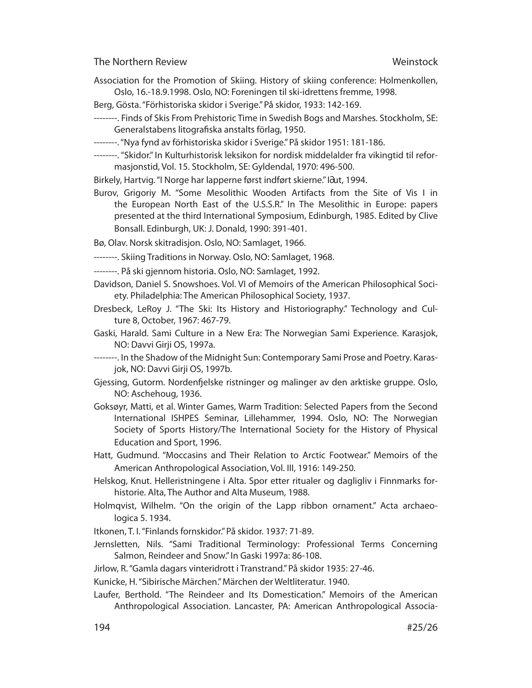- Association for the Promotion of Skiing. History of skiing conference: Holmenkollen, Oslo, 16.-18.9.1998. Oslo, NO: Foreningen til ski-idrettens fremme, 1998.
- Berg, Gösta. "Förhistoriska skidor i Sverige." På skidor, 1933: 142-169.
- --------. Finds of Skis From Prehistoric Time in Swedish Bogs and Marshes. Stockholm, SE: Generalstabens litografiska anstalts förlag, 1950.
- --------. "Nya fynd av förhistoriska skidor i Sverige." På skidor 1951: 181-186.
- --------. "Skidor." In Kulturhistorisk leksikon for nordisk middelalder fra vikingtid til reformasjonstid, Vol. 15. Stockholm, SE: Gyldendal, 1970: 496-500.
- Birkely, Hartvig. "I Norge har lapperne først indført skierne." I∂ut, 1994.
- Burov, Grigoriy M. "Some Mesolithic Wooden Artifacts from the Site of Vis I in the European North East of the U.S.S.R." In The Mesolithic in Europe: papers presented at the third International Symposium, Edinburgh, 1985. Edited by Clive Bonsall. Edinburgh, UK: J. Donald, 1990: 391-401.
- Bø, Olav. Norsk skitradisjon. Oslo, NO: Samlaget, 1966.
- --------. Skiing Traditions in Norway. Oslo, NO: Samlaget, 1968.
- --------. På ski gjennom historia. Oslo, NO: Samlaget, 1992.
- Davidson, Daniel S. Snowshoes. Vol. VI of Memoirs of the American Philosophical Society. Philadelphia: The American Philosophical Society, 1937.
- Dresbeck, LeRoy J. "The Ski: Its History and Historiography." Technology and Culture 8, October, 1967: 467-79.
- Gaski, Harald. Sami Culture in a New Era: The Norwegian Sami Experience. Karasjok, NO: Davvi Girji OS, 1997a.
- --------. In the Shadow of the Midnight Sun: Contemporary Sami Prose and Poetry. Karasjok, NO: Davvi Girji OS, 1997b.
- Gjessing, Gutorm. Nordenfjelske ristninger og malinger av den arktiske gruppe. Oslo, NO: Aschehoug, 1936.
- Goksøyr, Matti, et al. Winter Games, Warm Tradition: Selected Papers from the Second International ISHPES Seminar, Lillehammer, 1994. Oslo, NO: The Norwegian Society of Sports History/The International Society for the History of Physical Education and Sport, 1996.
- Hatt, Gudmund. "Moccasins and Their Relation to Arctic Footwear." Memoirs of the American Anthropological Association, Vol. III, 1916: 149-250.
- Helskog, Knut. Helleristningene i Alta. Spor etter ritualer og dagligliv i Finnmarks forhistorie. Alta, The Author and Alta Museum, 1988.
- Holmqvist, Wilhelm. "On the origin of the Lapp ribbon ornament." Acta archaeologica 5. 1934.
- Itkonen, T. I. "Finlands fornskidor." På skidor. 1937: 71-89.
- Jernsletten, Nils. "Sami Traditional Terminology: Professional Terms Concerning Salmon, Reindeer and Snow." In Gaski 1997a: 86-108.
- Jirlow, R. "Gamla dagars vinteridrott i Transtrand." På skidor 1935: 27-46.

Kunicke, H. "Sibirische Märchen." Märchen der Weltliteratur. 1940.

Laufer, Berthold. "The Reindeer and Its Domestication." Memoirs of the American Anthropological Association. Lancaster, PA: American Anthropological Associa-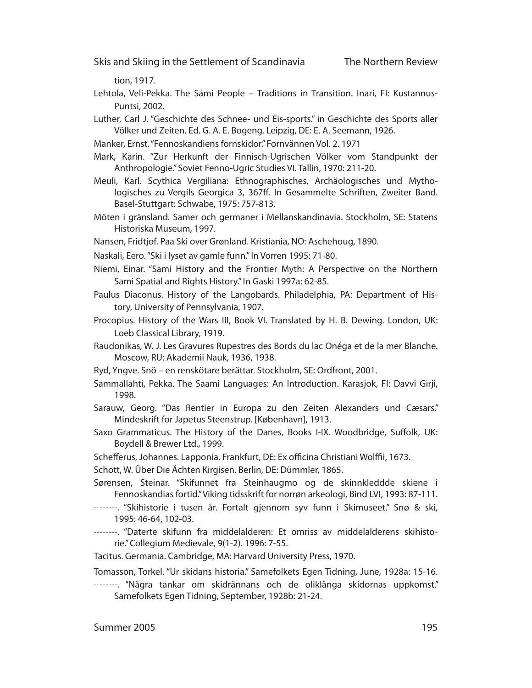tion, 1917.

Lehtola, Veli-Pekka. The Sámi People – Traditions in Transition. Inari, FI: Kustannus-Puntsi, 2002.

Luther, Carl J. "Geschichte des Schnee- und Eis-sports." in Geschichte des Sports aller Völker und Zeiten. Ed. G. A. E. Bogeng. Leipzig, DE: E. A. Seemann, 1926.

- Manker, Ernst. "Fennoskandiens fornskidor." Fornvännen Vol. 2. 1971
- Mark, Karin. "Zur Herkunft der Finnisch-Ugrischen Völker vom Standpunkt der Anthropologie." Soviet Fenno-Ugric Studies VI. Tallin, 1970: 211-20.
- Meuli, Karl. Scythica Vergiliana: Ethnographisches, Archäologisches und Mythologisches zu Vergils Georgica 3, 367ff. In Gesammelte Schriften, Zweiter Band. Basel-Stuttgart: Schwabe, 1975: 757-813.
- Möten i gränsland. Samer och germaner i Mellanskandinavia. Stockholm, SE: Statens Historiska Museum, 1997.
- Nansen, Fridtjof. Paa Ski over Grønland. Kristiania, NO: Aschehoug, 1890.
- Naskali, Eero. "Ski i lyset av gamle funn." In Vorren 1995: 71-80.
- Niemi, Einar. "Sami History and the Frontier Myth: A Perspective on the Northern Sami Spatial and Rights History." In Gaski 1997a: 62-85.
- Paulus Diaconus. History of the Langobards. Philadelphia, PA: Department of History, University of Pennsylvania, 1907.
- Procopius. History of the Wars III, Book VI. Translated by H. B. Dewing. London, UK: Loeb Classical Library, 1919.
- Raudonikas, W. J. Les Gravures Rupestres des Bords du lac Onéga et de la mer Blanche. Moscow, RU: Akademii Nauk, 1936, 1938.
- Ryd, Yngve. Snö en renskötare berättar. Stockholm, SE: Ordfront, 2001.
- Sammallahti, Pekka. The Saami Languages: An Introduction. Karasjok, FI: Davvi Girji, 1998.
- Sarauw, Georg. "Das Rentier in Europa zu den Zeiten Alexanders und Cæsars." Mindeskrift for Japetus Steenstrup. [København], 1913.
- Saxo Grammaticus. The History of the Danes, Books I-IX. Woodbridge, Suffolk, UK: Boydell & Brewer Ltd., 1999.
- Schefferus, Johannes. Lapponia. Frankfurt, DE: Ex officina Christiani Wolffii, 1673.
- Schott, W. Über Die Ächten Kirgisen. Berlin, DE: Dümmler, 1865.
- Sørensen, Steinar. "Skifunnet fra Steinhaugmo og de skinnkleddde skiene i Fennoskandias fortid." Viking tidsskrift for norrøn arkeologi, Bind LVI, 1993: 87-111.
- --------. "Skihistorie i tusen år. Fortalt gjennom syv funn i Skimuseet." Snø & ski, 1995: 46-64, 102-03.
- --------. "Daterte skifunn fra middelalderen: Et omriss av middelalderens skihistorie." Collegium Medievale, 9(1-2). 1996: 7-55.
- Tacitus. Germania. Cambridge, MA: Harvard University Press, 1970.
- Tomasson, Torkel. "Ur skidans historia." Samefolkets Egen Tidning, June, 1928a: 15-16.
- --------. "Några tankar om skidrännans och de oliklånga skidornas uppkomst." Samefolkets Egen Tidning, September, 1928b: 21-24.